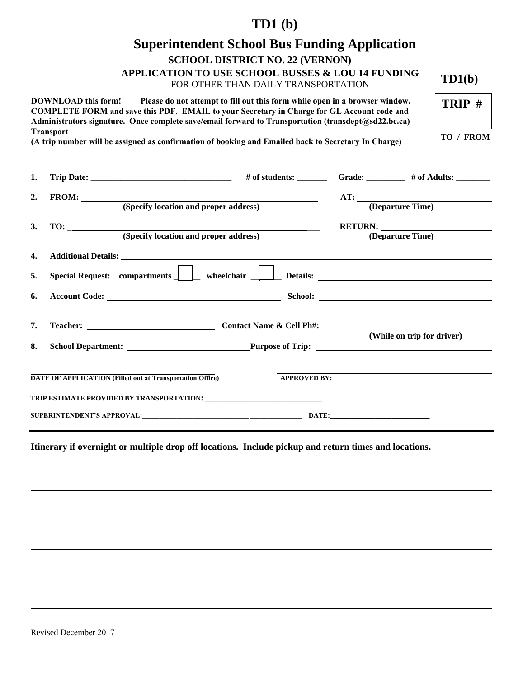# **TD1 (b)**

# **Superintendent School Bus Funding Application**

**SCHOOL DISTRICT NO. 22 (VERNON)** 

**APPLICATION TO USE SCHOOL BUSSES & LOU 14 FUNDING**  $TD1(b)$ 

FOR OTHER THAN DAILY TRANSPORTATION

**DOWNLOAD this form! Please do not attempt to fill out this form while open in a browser window. COMPLETE FORM and save this PDF. EMAIL to your Secretary in Charge for GL Account code and Administrators signature. Once complete save/email forward to Transportation (transdept@sd22.bc.ca) Transport**

**(A trip number will be assigned as confirmation of booking and Emailed back to Secretary In Charge) TO / FROM** 

**TRIP #** 

| 1. |     |                                                                                                                                                                                                                                      |                     |                                                                                               |
|----|-----|--------------------------------------------------------------------------------------------------------------------------------------------------------------------------------------------------------------------------------------|---------------------|-----------------------------------------------------------------------------------------------|
| 2. |     | FROM: (Specify location and proper address)                                                                                                                                                                                          |                     | AT: <u>(Departure Time)</u>                                                                   |
| 3. | TO: | (Specify location and proper address)                                                                                                                                                                                                |                     | RETURN:<br>(Departure Time)                                                                   |
| 4. |     | Additional Details: <u>Quantum and the contract of the contract of the contract of the contract of the contract of the contract of the contract of the contract of the contract of the contract of the contract of the contract </u> |                     |                                                                                               |
| 5. |     |                                                                                                                                                                                                                                      |                     | Special Request: compartments     wheelchair     Details: _______________________             |
| 6. |     |                                                                                                                                                                                                                                      |                     |                                                                                               |
| 7. |     |                                                                                                                                                                                                                                      |                     |                                                                                               |
|    |     |                                                                                                                                                                                                                                      |                     | (While on trip for driver)<br>8. School Department: Purpose of Trip: 2008. School Department: |
|    |     | <b>DATE OF APPLICATION (Filled out at Transportation Office)</b>                                                                                                                                                                     | <b>APPROVED BY:</b> |                                                                                               |
|    |     |                                                                                                                                                                                                                                      |                     |                                                                                               |
|    |     | SUPERINTENDENT'S APPROVAL: DATE: DATE:                                                                                                                                                                                               |                     |                                                                                               |
|    |     | Itinerary if overnight or multiple drop off locations. Include pickup and return times and locations.                                                                                                                                |                     |                                                                                               |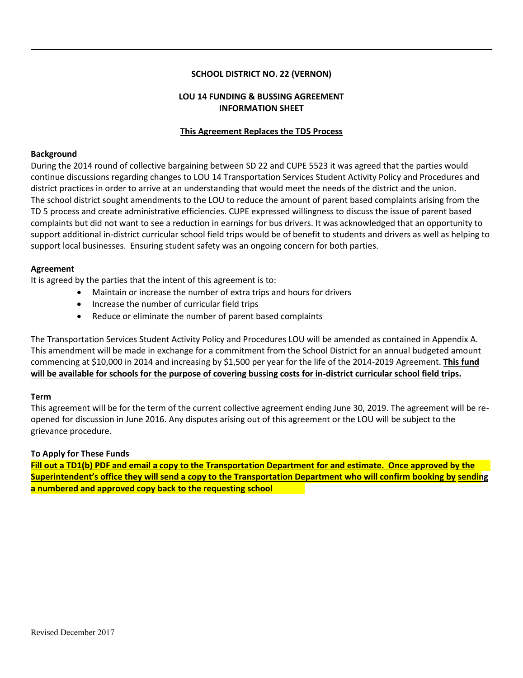# **SCHOOL DISTRICT NO. 22 (VERNON)**

# **LOU 14 FUNDING & BUSSING AGREEMENT INFORMATION SHEET**

# **This Agreement Replaces the TD5 Process**

#### **Background**

During the 2014 round of collective bargaining between SD 22 and CUPE 5523 it was agreed that the parties would continue discussions regarding changes to LOU 14 Transportation Services Student Activity Policy and Procedures and district practices in order to arrive at an understanding that would meet the needs of the district and the union. The school district sought amendments to the LOU to reduce the amount of parent based complaints arising from the TD 5 process and create administrative efficiencies. CUPE expressed willingness to discuss the issue of parent based complaints but did not want to see a reduction in earnings for bus drivers. It was acknowledged that an opportunity to support additional in-district curricular school field trips would be of benefit to students and drivers as well as helping to support local businesses. Ensuring student safety was an ongoing concern for both parties.

#### **Agreement**

It is agreed by the parties that the intent of this agreement is to:

- Maintain or increase the number of extra trips and hours for drivers
- Increase the number of curricular field trips
- Reduce or eliminate the number of parent based complaints

The Transportation Services Student Activity Policy and Procedures LOU will be amended as contained in Appendix A. This amendment will be made in exchange for a commitment from the School District for an annual budgeted amount commencing at \$10,000 in 2014 and increasing by \$1,500 per year for the life of the 2014-2019 Agreement. **This fund will be available for schools for the purpose of covering bussing costs for in-district curricular school field trips.** 

#### **Term**

This agreement will be for the term of the current collective agreement ending June 30, 2019. The agreement will be reopened for discussion in June 2016. Any disputes arising out of this agreement or the LOU will be subject to the grievance procedure.

# **To Apply for These Funds**

**Fill out a TD1(b) PDF and email a copy to the Transportation Department for and estimate. Once approved by the Superintendent's office they will send a copy to the Transportation Department who will confirm booking by sending a numbered and approved copy back to the requesting school**